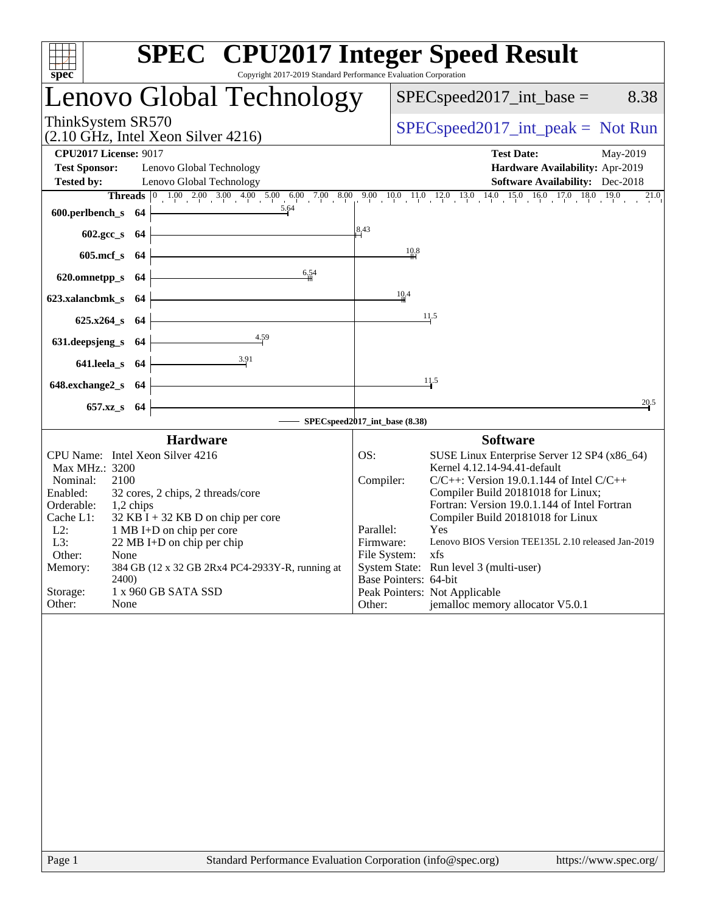| spec <sup>®</sup>                                                         | <b>SPEC<sup>®</sup></b> CPU2017 Integer Speed Result<br>Copyright 2017-2019 Standard Performance Evaluation Corporation                                                                                                                                                                                   |
|---------------------------------------------------------------------------|-----------------------------------------------------------------------------------------------------------------------------------------------------------------------------------------------------------------------------------------------------------------------------------------------------------|
| Lenovo Global Technology                                                  | $SPEC speed2017\_int\_base =$<br>8.38                                                                                                                                                                                                                                                                     |
| ThinkSystem SR570<br>$(2.10 \text{ GHz}, \text{Intel Xeon Silver } 4216)$ | $SPEC speed2017\_int\_peak = Not Run$                                                                                                                                                                                                                                                                     |
| <b>CPU2017 License: 9017</b>                                              | <b>Test Date:</b><br>May-2019                                                                                                                                                                                                                                                                             |
| <b>Test Sponsor:</b><br>Lenovo Global Technology                          | Hardware Availability: Apr-2019                                                                                                                                                                                                                                                                           |
| <b>Tested by:</b><br>Lenovo Global Technology                             | <b>Software Availability:</b> Dec-2018                                                                                                                                                                                                                                                                    |
|                                                                           | <b>Threads</b> $\begin{bmatrix} 0 & 1 & 0 & 2 & 0 & 3 & 0 & 4 & 0 & 5 & 0 & 6 & 0 & 7 & 0 & 8 & 0 & 9 & 1 & 0 & 11 & 0 & 12 & 0 & 13 & 0 & 14 & 0 & 15 & 0 & 16 & 17 & 0 & 18 & 0 & 19 & 0 & 21 & 0 & 0 & 21 & 0 & 21 & 0 & 21 & 0 & 21 & 0 & 21 & 0 & 21 & 0 & 21 & 0 & 21 & 0 & 21 & 0 & 21 & 0 & 21 &$ |
| 5.64<br>600.perlbench_s 64                                                |                                                                                                                                                                                                                                                                                                           |
| $602.\text{sec}\_\text{S}$ 64                                             | 8,43                                                                                                                                                                                                                                                                                                      |
| 605.mcf $s$ 64                                                            | 10.8                                                                                                                                                                                                                                                                                                      |
| 6,54<br>620.omnetpp_s 64                                                  |                                                                                                                                                                                                                                                                                                           |
|                                                                           | 10.4                                                                                                                                                                                                                                                                                                      |
| 623.xalancbmk_s 64                                                        |                                                                                                                                                                                                                                                                                                           |
| $625.x264_s$ 64                                                           | 11.5                                                                                                                                                                                                                                                                                                      |
| 4.59<br>631.deepsjeng_s 64                                                |                                                                                                                                                                                                                                                                                                           |
| $641.$ leela_s $64$                                                       |                                                                                                                                                                                                                                                                                                           |
| 648.exchange $2$ <sub>S</sub> 64                                          | 11.5                                                                                                                                                                                                                                                                                                      |
| 657.xz_s 64                                                               | 20.5                                                                                                                                                                                                                                                                                                      |
|                                                                           | SPECspeed2017_int_base (8.38)                                                                                                                                                                                                                                                                             |
| <b>Hardware</b>                                                           | <b>Software</b>                                                                                                                                                                                                                                                                                           |
| CPU Name: Intel Xeon Silver 4216                                          | SUSE Linux Enterprise Server 12 SP4 (x86_64)<br>OS:                                                                                                                                                                                                                                                       |
| Max MHz.: 3200                                                            | Kernel 4.12.14-94.41-default                                                                                                                                                                                                                                                                              |
| Nominal:<br>2100<br>Enabled:<br>32 cores, 2 chips, 2 threads/core         | Compiler:<br>$C/C++$ : Version 19.0.1.144 of Intel $C/C++$<br>Compiler Build 20181018 for Linux;                                                                                                                                                                                                          |
| Orderable:<br>1,2 chips                                                   | Fortran: Version 19.0.1.144 of Intel Fortran                                                                                                                                                                                                                                                              |
| $32$ KB I + 32 KB D on chip per core<br>Cache L1:                         | Compiler Build 20181018 for Linux                                                                                                                                                                                                                                                                         |
| 1 MB I+D on chip per core<br>$L2$ :<br>L3:<br>22 MB I+D on chip per chip  | Parallel:<br>Yes<br>Lenovo BIOS Version TEE135L 2.10 released Jan-2019<br>Firmware:                                                                                                                                                                                                                       |
| Other:<br>None                                                            | File System:<br>xts                                                                                                                                                                                                                                                                                       |
| Memory:<br>384 GB (12 x 32 GB 2Rx4 PC4-2933Y-R, running at                | System State: Run level 3 (multi-user)                                                                                                                                                                                                                                                                    |
| 2400)<br>Storage:<br>1 x 960 GB SATA SSD                                  | Base Pointers: 64-bit<br>Peak Pointers: Not Applicable                                                                                                                                                                                                                                                    |
| Other:<br>None                                                            | jemalloc memory allocator V5.0.1<br>Other:                                                                                                                                                                                                                                                                |
|                                                                           |                                                                                                                                                                                                                                                                                                           |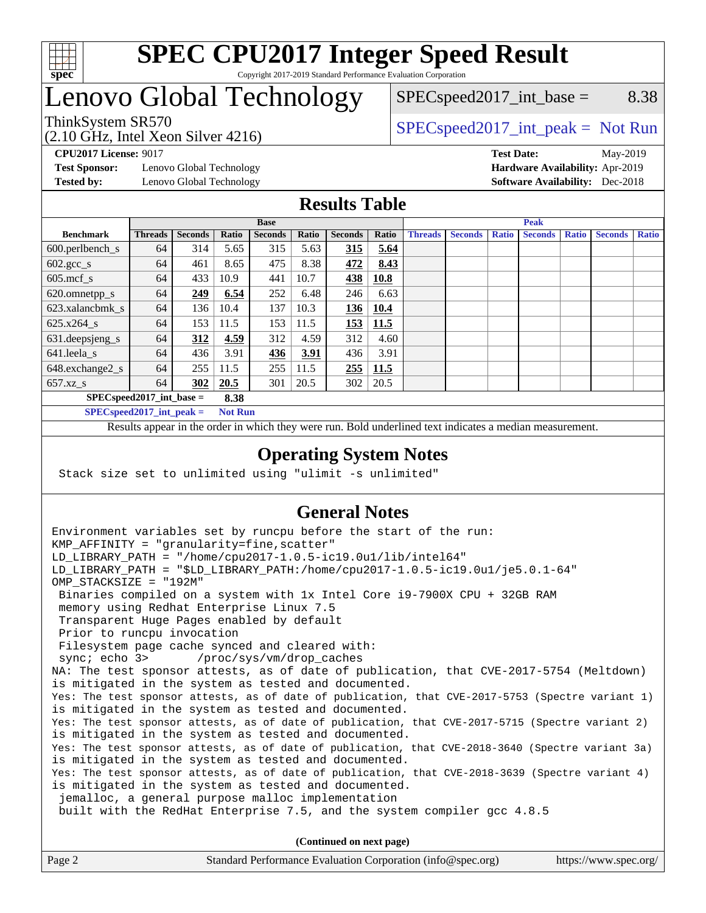

### Lenovo Global Technology

 $SPEC speed2017\_int\_base =$  8.38

(2.10 GHz, Intel Xeon Silver 4216)

ThinkSystem SR570<br>  $SPEC speed2017\_int\_peak = Not Run$ 

**[Test Sponsor:](http://www.spec.org/auto/cpu2017/Docs/result-fields.html#TestSponsor)** Lenovo Global Technology **[Hardware Availability:](http://www.spec.org/auto/cpu2017/Docs/result-fields.html#HardwareAvailability)** Apr-2019

**[CPU2017 License:](http://www.spec.org/auto/cpu2017/Docs/result-fields.html#CPU2017License)** 9017 **[Test Date:](http://www.spec.org/auto/cpu2017/Docs/result-fields.html#TestDate)** May-2019 **[Tested by:](http://www.spec.org/auto/cpu2017/Docs/result-fields.html#Testedby)** Lenovo Global Technology **[Software Availability:](http://www.spec.org/auto/cpu2017/Docs/result-fields.html#SoftwareAvailability)** Dec-2018

### **[Results Table](http://www.spec.org/auto/cpu2017/Docs/result-fields.html#ResultsTable)**

|                                    | <b>Base</b>    |                |       |                | <b>Peak</b> |                |       |                |                |              |                |              |                |              |
|------------------------------------|----------------|----------------|-------|----------------|-------------|----------------|-------|----------------|----------------|--------------|----------------|--------------|----------------|--------------|
| <b>Benchmark</b>                   | <b>Threads</b> | <b>Seconds</b> | Ratio | <b>Seconds</b> | Ratio       | <b>Seconds</b> | Ratio | <b>Threads</b> | <b>Seconds</b> | <b>Ratio</b> | <b>Seconds</b> | <b>Ratio</b> | <b>Seconds</b> | <b>Ratio</b> |
| $600.$ perlbench $\mathsf{S}$      | 64             | 314            | 5.65  | 315            | 5.63        | 315            | 5.64  |                |                |              |                |              |                |              |
| $602.\text{gcc}\_\text{s}$         | 64             | 461            | 8.65  | 475            | 8.38        | 472            | 8.43  |                |                |              |                |              |                |              |
| $605$ .mcf s                       | 64             | 433            | 10.9  | 441            | 10.7        | 438            | 10.8  |                |                |              |                |              |                |              |
| 620.omnetpp_s                      | 64             | 249            | 6.54  | 252            | 6.48        | 246            | 6.63  |                |                |              |                |              |                |              |
| 623.xalancbmk s                    | 64             | 136            | 10.4  | 137            | 10.3        | 136            | 10.4  |                |                |              |                |              |                |              |
| 625.x264 s                         | 64             | 153            | 11.5  | 153            | 11.5        | 153            | 11.5  |                |                |              |                |              |                |              |
| 631.deepsjeng_s                    | 64             | 312            | 4.59  | 312            | 4.59        | 312            | 4.60  |                |                |              |                |              |                |              |
| 641.leela s                        | 64             | 436            | 3.91  | 436            | 3.91        | 436            | 3.91  |                |                |              |                |              |                |              |
| 648.exchange2_s                    | 64             | 255            | 11.5  | 255            | 11.5        | 255            | 11.5  |                |                |              |                |              |                |              |
| $657.xz$ s                         | 64             | 302            | 20.5  | 301            | 20.5        | 302            | 20.5  |                |                |              |                |              |                |              |
| $SPECspeed2017$ int base =<br>8.38 |                |                |       |                |             |                |       |                |                |              |                |              |                |              |

**[SPECspeed2017\\_int\\_peak =](http://www.spec.org/auto/cpu2017/Docs/result-fields.html#SPECspeed2017intpeak) Not Run**

Results appear in the [order in which they were run.](http://www.spec.org/auto/cpu2017/Docs/result-fields.html#RunOrder) Bold underlined text [indicates a median measurement.](http://www.spec.org/auto/cpu2017/Docs/result-fields.html#Median)

#### **[Operating System Notes](http://www.spec.org/auto/cpu2017/Docs/result-fields.html#OperatingSystemNotes)**

Stack size set to unlimited using "ulimit -s unlimited"

### **[General Notes](http://www.spec.org/auto/cpu2017/Docs/result-fields.html#GeneralNotes)**

Environment variables set by runcpu before the start of the run: KMP AFFINITY = "granularity=fine, scatter" LD\_LIBRARY\_PATH = "/home/cpu2017-1.0.5-ic19.0u1/lib/intel64" LD\_LIBRARY\_PATH = "\$LD\_LIBRARY\_PATH:/home/cpu2017-1.0.5-ic19.0u1/je5.0.1-64" OMP\_STACKSIZE = "192M" Binaries compiled on a system with 1x Intel Core i9-7900X CPU + 32GB RAM memory using Redhat Enterprise Linux 7.5 Transparent Huge Pages enabled by default Prior to runcpu invocation Filesystem page cache synced and cleared with: sync; echo 3> /proc/sys/vm/drop\_caches NA: The test sponsor attests, as of date of publication, that CVE-2017-5754 (Meltdown) is mitigated in the system as tested and documented. Yes: The test sponsor attests, as of date of publication, that CVE-2017-5753 (Spectre variant 1) is mitigated in the system as tested and documented. Yes: The test sponsor attests, as of date of publication, that CVE-2017-5715 (Spectre variant 2) is mitigated in the system as tested and documented. Yes: The test sponsor attests, as of date of publication, that CVE-2018-3640 (Spectre variant 3a) is mitigated in the system as tested and documented. Yes: The test sponsor attests, as of date of publication, that CVE-2018-3639 (Spectre variant 4) is mitigated in the system as tested and documented. jemalloc, a general purpose malloc implementation built with the RedHat Enterprise 7.5, and the system compiler gcc 4.8.5 **(Continued on next page)**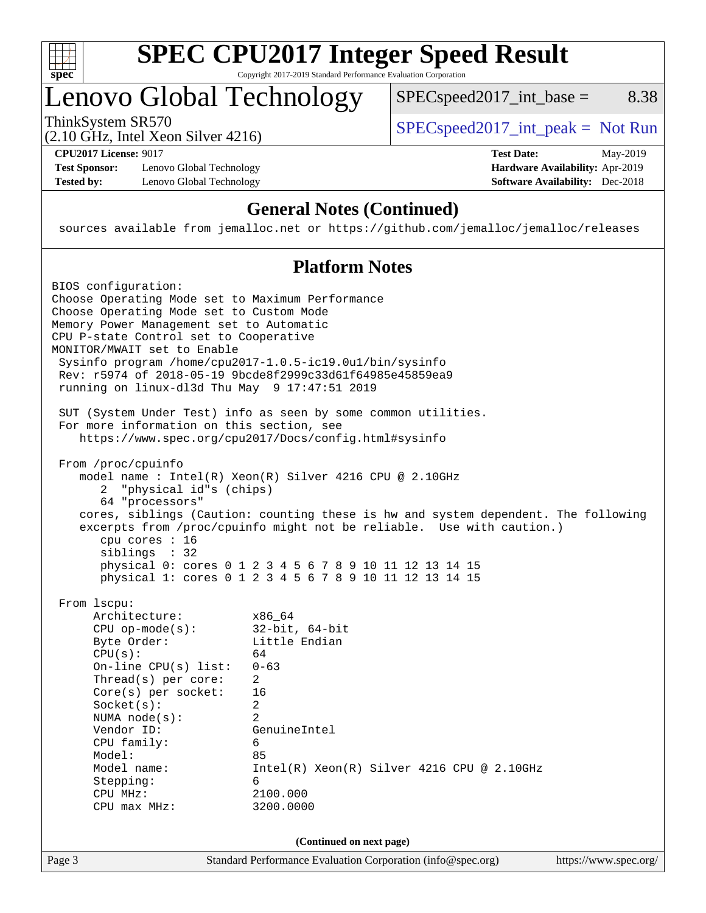

# **[SPEC CPU2017 Integer Speed Result](http://www.spec.org/auto/cpu2017/Docs/result-fields.html#SPECCPU2017IntegerSpeedResult)**

Copyright 2017-2019 Standard Performance Evaluation Corporation

### Lenovo Global Technology

ThinkSystem SR570<br>  $(2.10 \text{ GHz} \text{ Intel } \text{Yoon } \text{Silvar } 4216)$  [SPECspeed2017\\_int\\_peak =](http://www.spec.org/auto/cpu2017/Docs/result-fields.html#SPECspeed2017intpeak) Not Run

 $SPEC speed2017\_int\_base =$  8.38

(2.10 GHz, Intel Xeon Silver 4216)

**[Test Sponsor:](http://www.spec.org/auto/cpu2017/Docs/result-fields.html#TestSponsor)** Lenovo Global Technology **[Hardware Availability:](http://www.spec.org/auto/cpu2017/Docs/result-fields.html#HardwareAvailability)** Apr-2019 **[Tested by:](http://www.spec.org/auto/cpu2017/Docs/result-fields.html#Testedby)** Lenovo Global Technology **[Software Availability:](http://www.spec.org/auto/cpu2017/Docs/result-fields.html#SoftwareAvailability)** Dec-2018

**[CPU2017 License:](http://www.spec.org/auto/cpu2017/Docs/result-fields.html#CPU2017License)** 9017 **[Test Date:](http://www.spec.org/auto/cpu2017/Docs/result-fields.html#TestDate)** May-2019

### **[General Notes \(Continued\)](http://www.spec.org/auto/cpu2017/Docs/result-fields.html#GeneralNotes)**

sources available from jemalloc.net or <https://github.com/jemalloc/jemalloc/releases>

### **[Platform Notes](http://www.spec.org/auto/cpu2017/Docs/result-fields.html#PlatformNotes)**

| BIOS configuration:                              |                                                                                    |                       |
|--------------------------------------------------|------------------------------------------------------------------------------------|-----------------------|
| Choose Operating Mode set to Maximum Performance |                                                                                    |                       |
| Choose Operating Mode set to Custom Mode         |                                                                                    |                       |
| Memory Power Management set to Automatic         |                                                                                    |                       |
| CPU P-state Control set to Cooperative           |                                                                                    |                       |
| MONITOR/MWAIT set to Enable                      |                                                                                    |                       |
|                                                  | Sysinfo program /home/cpu2017-1.0.5-ic19.0ul/bin/sysinfo                           |                       |
|                                                  | Rev: r5974 of 2018-05-19 9bcde8f2999c33d61f64985e45859ea9                          |                       |
| running on linux-dl3d Thu May 9 17:47:51 2019    |                                                                                    |                       |
|                                                  | SUT (System Under Test) info as seen by some common utilities.                     |                       |
| For more information on this section, see        |                                                                                    |                       |
|                                                  | https://www.spec.org/cpu2017/Docs/config.html#sysinfo                              |                       |
| From /proc/cpuinfo                               |                                                                                    |                       |
|                                                  | model name : Intel(R) Xeon(R) Silver 4216 CPU @ 2.10GHz                            |                       |
| "physical id"s (chips)<br>2                      |                                                                                    |                       |
| 64 "processors"                                  |                                                                                    |                       |
|                                                  | cores, siblings (Caution: counting these is hw and system dependent. The following |                       |
|                                                  | excerpts from /proc/cpuinfo might not be reliable. Use with caution.)              |                       |
| cpu cores $: 16$                                 |                                                                                    |                       |
| siblings : 32                                    |                                                                                    |                       |
|                                                  | physical 0: cores 0 1 2 3 4 5 6 7 8 9 10 11 12 13 14 15                            |                       |
|                                                  | physical 1: cores 0 1 2 3 4 5 6 7 8 9 10 11 12 13 14 15                            |                       |
| From 1scpu:                                      |                                                                                    |                       |
| Architecture:                                    | x86 64                                                                             |                       |
| $CPU$ op-mode( $s$ ):                            | $32$ -bit, $64$ -bit                                                               |                       |
| Byte Order:                                      | Little Endian                                                                      |                       |
| CPU(s):                                          | 64                                                                                 |                       |
| $On$ -line CPU $(s)$ list:                       | $0 - 63$                                                                           |                       |
| Thread( $s$ ) per core:                          | $\overline{2}$                                                                     |                       |
| $Core(s)$ per socket:                            | 16                                                                                 |                       |
| Socket(s):                                       | $\overline{2}$                                                                     |                       |
| NUMA $node(s):$                                  | $\mathfrak{D}$                                                                     |                       |
| Vendor ID:                                       | GenuineIntel                                                                       |                       |
| CPU family:                                      | 6                                                                                  |                       |
| Model:                                           | 85                                                                                 |                       |
| Model name:                                      | $Intel(R)$ Xeon $(R)$ Silver 4216 CPU @ 2.10GHz                                    |                       |
| Stepping:                                        | 6                                                                                  |                       |
| CPU MHz:                                         | 2100.000                                                                           |                       |
| $CPU$ max $MHz$ :                                | 3200.0000                                                                          |                       |
|                                                  |                                                                                    |                       |
|                                                  | (Continued on next page)                                                           |                       |
| Page 3                                           | Standard Performance Evaluation Corporation (info@spec.org)                        | https://www.spec.org/ |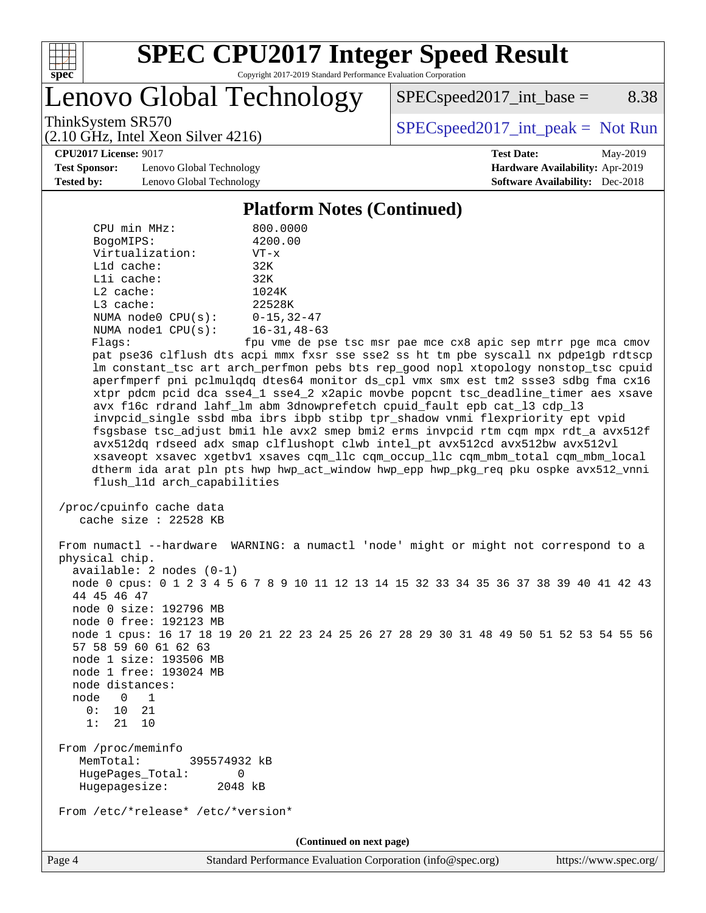

# **[SPEC CPU2017 Integer Speed Result](http://www.spec.org/auto/cpu2017/Docs/result-fields.html#SPECCPU2017IntegerSpeedResult)**

Copyright 2017-2019 Standard Performance Evaluation Corporation

Lenovo Global Technology

 $SPEC speed2017\_int\_base =$  8.38

(2.10 GHz, Intel Xeon Silver 4216)

ThinkSystem SR570<br>  $(2.10 \text{ GHz} \text{ Intel } \text{Yoon } \text{Silvar } 4216)$  [SPECspeed2017\\_int\\_peak =](http://www.spec.org/auto/cpu2017/Docs/result-fields.html#SPECspeed2017intpeak) Not Run

#### **[CPU2017 License:](http://www.spec.org/auto/cpu2017/Docs/result-fields.html#CPU2017License)** 9017 **[Test Date:](http://www.spec.org/auto/cpu2017/Docs/result-fields.html#TestDate)** May-2019

**[Test Sponsor:](http://www.spec.org/auto/cpu2017/Docs/result-fields.html#TestSponsor)** Lenovo Global Technology **[Hardware Availability:](http://www.spec.org/auto/cpu2017/Docs/result-fields.html#HardwareAvailability)** Apr-2019 **[Tested by:](http://www.spec.org/auto/cpu2017/Docs/result-fields.html#Testedby)** Lenovo Global Technology **[Software Availability:](http://www.spec.org/auto/cpu2017/Docs/result-fields.html#SoftwareAvailability)** Dec-2018

### **[Platform Notes \(Continued\)](http://www.spec.org/auto/cpu2017/Docs/result-fields.html#PlatformNotes)**

| CPU min MHz:                                                                                                                                                      | 800.0000                                                                                                                                                                                                                                                                  |
|-------------------------------------------------------------------------------------------------------------------------------------------------------------------|---------------------------------------------------------------------------------------------------------------------------------------------------------------------------------------------------------------------------------------------------------------------------|
| BogoMIPS:                                                                                                                                                         | 4200.00                                                                                                                                                                                                                                                                   |
| Virtualization:                                                                                                                                                   | $VT - x$                                                                                                                                                                                                                                                                  |
| Lld cache:                                                                                                                                                        | 32K                                                                                                                                                                                                                                                                       |
| Lli cache:                                                                                                                                                        | 32K                                                                                                                                                                                                                                                                       |
| $L2$ cache:                                                                                                                                                       | 1024K                                                                                                                                                                                                                                                                     |
| L3 cache:                                                                                                                                                         | 22528K                                                                                                                                                                                                                                                                    |
| NUMA $node0$ $CPU(s):$                                                                                                                                            | $0 - 15, 32 - 47$                                                                                                                                                                                                                                                         |
| NUMA nodel CPU(s):                                                                                                                                                | $16 - 31, 48 - 63$                                                                                                                                                                                                                                                        |
| Flags:                                                                                                                                                            | fpu vme de pse tsc msr pae mce cx8 apic sep mtrr pge mca cmov                                                                                                                                                                                                             |
|                                                                                                                                                                   | pat pse36 clflush dts acpi mmx fxsr sse sse2 ss ht tm pbe syscall nx pdpelgb rdtscp                                                                                                                                                                                       |
|                                                                                                                                                                   | lm constant_tsc art arch_perfmon pebs bts rep_good nopl xtopology nonstop_tsc cpuid                                                                                                                                                                                       |
|                                                                                                                                                                   | aperfmperf pni pclmulqdq dtes64 monitor ds_cpl vmx smx est tm2 ssse3 sdbg fma cx16                                                                                                                                                                                        |
|                                                                                                                                                                   | xtpr pdcm pcid dca sse4_1 sse4_2 x2apic movbe popcnt tsc_deadline_timer aes xsave                                                                                                                                                                                         |
|                                                                                                                                                                   | avx f16c rdrand lahf_lm abm 3dnowprefetch cpuid_fault epb cat_13 cdp_13                                                                                                                                                                                                   |
|                                                                                                                                                                   | invpcid_single ssbd mba ibrs ibpb stibp tpr_shadow vnmi flexpriority ept vpid                                                                                                                                                                                             |
|                                                                                                                                                                   | fsgsbase tsc_adjust bmil hle avx2 smep bmi2 erms invpcid rtm cqm mpx rdt_a avx512f                                                                                                                                                                                        |
|                                                                                                                                                                   | avx512dq rdseed adx smap clflushopt clwb intel_pt avx512cd avx512bw avx512vl                                                                                                                                                                                              |
|                                                                                                                                                                   | xsaveopt xsavec xgetbvl xsaves cqm_llc cqm_occup_llc cqm_mbm_total cqm_mbm_local                                                                                                                                                                                          |
| flush_l1d arch_capabilities                                                                                                                                       | dtherm ida arat pln pts hwp hwp_act_window hwp_epp hwp_pkg_req pku ospke avx512_vnni                                                                                                                                                                                      |
|                                                                                                                                                                   |                                                                                                                                                                                                                                                                           |
| /proc/cpuinfo cache data                                                                                                                                          |                                                                                                                                                                                                                                                                           |
| cache size : $22528$ KB                                                                                                                                           |                                                                                                                                                                                                                                                                           |
| physical chip.<br>$available: 2 nodes (0-1)$<br>44 45 46 47<br>node 0 size: 192796 MB<br>node 0 free: 192123 MB<br>57 58 59 60 61 62 63<br>node 1 size: 193506 MB | From numactl --hardware WARNING: a numactl 'node' might or might not correspond to a<br>node 0 cpus: 0 1 2 3 4 5 6 7 8 9 10 11 12 13 14 15 32 33 34 35 36 37 38 39 40 41 42 43<br>node 1 cpus: 16 17 18 19 20 21 22 23 24 25 26 27 28 29 30 31 48 49 50 51 52 53 54 55 56 |
| node 1 free: 193024 MB                                                                                                                                            |                                                                                                                                                                                                                                                                           |
| node distances:                                                                                                                                                   |                                                                                                                                                                                                                                                                           |
| node 0<br>$\overline{1}$                                                                                                                                          |                                                                                                                                                                                                                                                                           |
| 0:<br>10 21                                                                                                                                                       |                                                                                                                                                                                                                                                                           |
| 1:<br>21<br>10                                                                                                                                                    |                                                                                                                                                                                                                                                                           |
|                                                                                                                                                                   |                                                                                                                                                                                                                                                                           |
| From /proc/meminfo                                                                                                                                                |                                                                                                                                                                                                                                                                           |
| MemTotal:<br>395574932 kB                                                                                                                                         |                                                                                                                                                                                                                                                                           |
| 0<br>HugePages_Total:<br>Hugepagesize:<br>2048 kB                                                                                                                 |                                                                                                                                                                                                                                                                           |
|                                                                                                                                                                   |                                                                                                                                                                                                                                                                           |
| From /etc/*release* /etc/*version*                                                                                                                                |                                                                                                                                                                                                                                                                           |
|                                                                                                                                                                   | (Continued on next page)                                                                                                                                                                                                                                                  |
|                                                                                                                                                                   |                                                                                                                                                                                                                                                                           |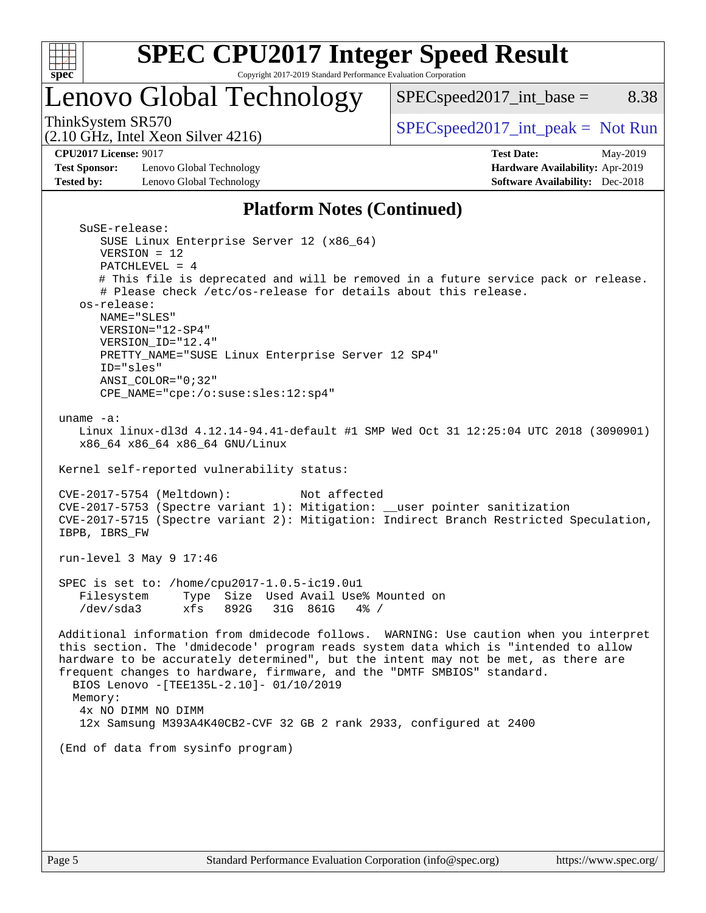

### Lenovo Global Technology

ThinkSystem SR570<br>  $SPEC speed2017\_int\_peak = Not Run$ 

 $SPEC speed2017\_int\_base =$  8.38

(2.10 GHz, Intel Xeon Silver 4216)

**[Test Sponsor:](http://www.spec.org/auto/cpu2017/Docs/result-fields.html#TestSponsor)** Lenovo Global Technology **[Hardware Availability:](http://www.spec.org/auto/cpu2017/Docs/result-fields.html#HardwareAvailability)** Apr-2019 **[Tested by:](http://www.spec.org/auto/cpu2017/Docs/result-fields.html#Testedby)** Lenovo Global Technology **[Software Availability:](http://www.spec.org/auto/cpu2017/Docs/result-fields.html#SoftwareAvailability)** Dec-2018

**[CPU2017 License:](http://www.spec.org/auto/cpu2017/Docs/result-fields.html#CPU2017License)** 9017 **[Test Date:](http://www.spec.org/auto/cpu2017/Docs/result-fields.html#TestDate)** May-2019

### **[Platform Notes \(Continued\)](http://www.spec.org/auto/cpu2017/Docs/result-fields.html#PlatformNotes)**

```
 SuSE-release:
       SUSE Linux Enterprise Server 12 (x86_64)
       VERSION = 12
       PATCHLEVEL = 4
       # This file is deprecated and will be removed in a future service pack or release.
       # Please check /etc/os-release for details about this release.
    os-release:
       NAME="SLES"
       VERSION="12-SP4"
       VERSION_ID="12.4"
       PRETTY_NAME="SUSE Linux Enterprise Server 12 SP4"
       ID="sles"
       ANSI_COLOR="0;32"
       CPE_NAME="cpe:/o:suse:sles:12:sp4"
 uname -a:
   Linux linux-dl3d 4.12.14-94.41-default #1 SMP Wed Oct 31 12:25:04 UTC 2018 (3090901)
    x86_64 x86_64 x86_64 GNU/Linux
 Kernel self-reported vulnerability status:
 CVE-2017-5754 (Meltdown): Not affected
 CVE-2017-5753 (Spectre variant 1): Mitigation: __user pointer sanitization
 CVE-2017-5715 (Spectre variant 2): Mitigation: Indirect Branch Restricted Speculation,
 IBPB, IBRS_FW
 run-level 3 May 9 17:46
 SPEC is set to: /home/cpu2017-1.0.5-ic19.0u1
    Filesystem Type Size Used Avail Use% Mounted on
    /dev/sda3 xfs 892G 31G 861G 4% /
 Additional information from dmidecode follows. WARNING: Use caution when you interpret
 this section. The 'dmidecode' program reads system data which is "intended to allow
 hardware to be accurately determined", but the intent may not be met, as there are
 frequent changes to hardware, firmware, and the "DMTF SMBIOS" standard.
   BIOS Lenovo -[TEE135L-2.10]- 01/10/2019
  Memory:
    4x NO DIMM NO DIMM
    12x Samsung M393A4K40CB2-CVF 32 GB 2 rank 2933, configured at 2400
 (End of data from sysinfo program)
```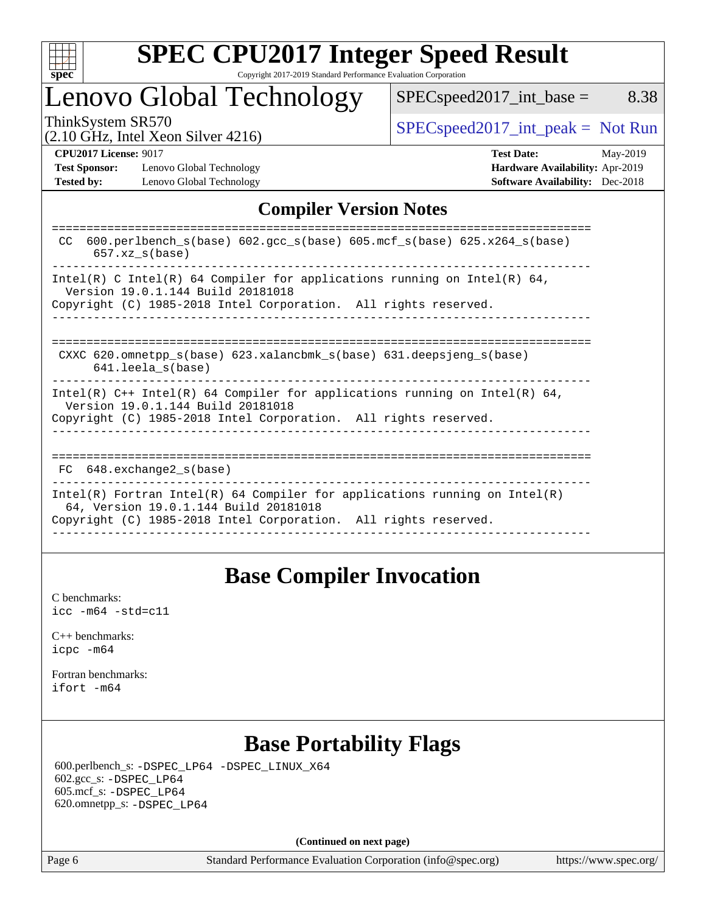

### Lenovo Global Technology

 $SPEC speed2017\_int\_base =$  8.38

(2.10 GHz, Intel Xeon Silver 4216)

ThinkSystem SR570<br>  $\begin{array}{c|c}\n\text{SPEC speed2017\_int\_peak} = \text{Not Run} \\
\hline\n\end{array}$ 

**[Test Sponsor:](http://www.spec.org/auto/cpu2017/Docs/result-fields.html#TestSponsor)** Lenovo Global Technology **[Hardware Availability:](http://www.spec.org/auto/cpu2017/Docs/result-fields.html#HardwareAvailability)** Apr-2019 **[Tested by:](http://www.spec.org/auto/cpu2017/Docs/result-fields.html#Testedby)** Lenovo Global Technology **[Software Availability:](http://www.spec.org/auto/cpu2017/Docs/result-fields.html#SoftwareAvailability)** Dec-2018

**[CPU2017 License:](http://www.spec.org/auto/cpu2017/Docs/result-fields.html#CPU2017License)** 9017 **[Test Date:](http://www.spec.org/auto/cpu2017/Docs/result-fields.html#TestDate)** May-2019

### **[Compiler Version Notes](http://www.spec.org/auto/cpu2017/Docs/result-fields.html#CompilerVersionNotes)**

### **[Base Compiler Invocation](http://www.spec.org/auto/cpu2017/Docs/result-fields.html#BaseCompilerInvocation)**

[C benchmarks](http://www.spec.org/auto/cpu2017/Docs/result-fields.html#Cbenchmarks): [icc -m64 -std=c11](http://www.spec.org/cpu2017/results/res2019q2/cpu2017-20190513-13869.flags.html#user_CCbase_intel_icc_64bit_c11_33ee0cdaae7deeeab2a9725423ba97205ce30f63b9926c2519791662299b76a0318f32ddfffdc46587804de3178b4f9328c46fa7c2b0cd779d7a61945c91cd35)

[C++ benchmarks:](http://www.spec.org/auto/cpu2017/Docs/result-fields.html#CXXbenchmarks) [icpc -m64](http://www.spec.org/cpu2017/results/res2019q2/cpu2017-20190513-13869.flags.html#user_CXXbase_intel_icpc_64bit_4ecb2543ae3f1412ef961e0650ca070fec7b7afdcd6ed48761b84423119d1bf6bdf5cad15b44d48e7256388bc77273b966e5eb805aefd121eb22e9299b2ec9d9)

[Fortran benchmarks](http://www.spec.org/auto/cpu2017/Docs/result-fields.html#Fortranbenchmarks): [ifort -m64](http://www.spec.org/cpu2017/results/res2019q2/cpu2017-20190513-13869.flags.html#user_FCbase_intel_ifort_64bit_24f2bb282fbaeffd6157abe4f878425411749daecae9a33200eee2bee2fe76f3b89351d69a8130dd5949958ce389cf37ff59a95e7a40d588e8d3a57e0c3fd751)

### **[Base Portability Flags](http://www.spec.org/auto/cpu2017/Docs/result-fields.html#BasePortabilityFlags)**

 600.perlbench\_s: [-DSPEC\\_LP64](http://www.spec.org/cpu2017/results/res2019q2/cpu2017-20190513-13869.flags.html#b600.perlbench_s_basePORTABILITY_DSPEC_LP64) [-DSPEC\\_LINUX\\_X64](http://www.spec.org/cpu2017/results/res2019q2/cpu2017-20190513-13869.flags.html#b600.perlbench_s_baseCPORTABILITY_DSPEC_LINUX_X64) 602.gcc\_s: [-DSPEC\\_LP64](http://www.spec.org/cpu2017/results/res2019q2/cpu2017-20190513-13869.flags.html#suite_basePORTABILITY602_gcc_s_DSPEC_LP64) 605.mcf\_s: [-DSPEC\\_LP64](http://www.spec.org/cpu2017/results/res2019q2/cpu2017-20190513-13869.flags.html#suite_basePORTABILITY605_mcf_s_DSPEC_LP64) 620.omnetpp\_s: [-DSPEC\\_LP64](http://www.spec.org/cpu2017/results/res2019q2/cpu2017-20190513-13869.flags.html#suite_basePORTABILITY620_omnetpp_s_DSPEC_LP64)

**(Continued on next page)**

Page 6 Standard Performance Evaluation Corporation [\(info@spec.org\)](mailto:info@spec.org) <https://www.spec.org/>